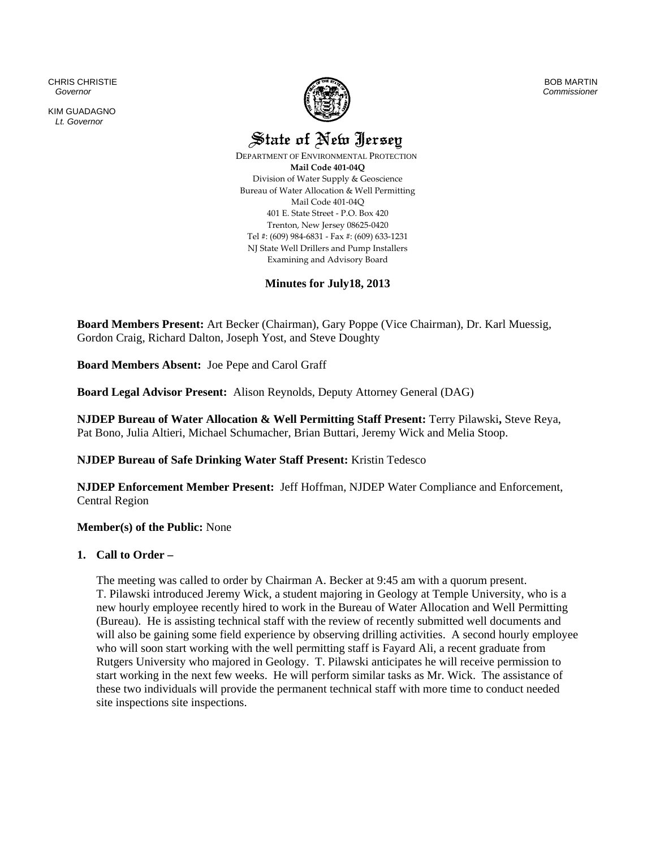CHRIS CHRISTIE  *Governor* 

KIM GUADAGNO *Lt. Governor* 



BOB MARTIN *Commissioner*

State of New Jersey

 DEPARTMENT OF ENVIRONMENTAL PROTECTION **Mail Code 401‐04Q** Division of Water Supply & Geoscience Bureau of Water Allocation & Well Permitting Mail Code 401‐04Q 401 E. State Street ‐ P.O. Box 420 Trenton, New Jersey 08625‐0420 Tel #: (609) 984‐6831 ‐ Fax #: (609) 633‐1231 NJ State Well Drillers and Pump Installers Examining and Advisory Board

**Minutes for July18, 2013** 

**Board Members Present:** Art Becker (Chairman), Gary Poppe (Vice Chairman), Dr. Karl Muessig, Gordon Craig, Richard Dalton, Joseph Yost, and Steve Doughty

**Board Members Absent:** Joe Pepe and Carol Graff

**Board Legal Advisor Present:** Alison Reynolds, Deputy Attorney General (DAG)

**NJDEP Bureau of Water Allocation & Well Permitting Staff Present:** Terry Pilawski**,** Steve Reya, Pat Bono, Julia Altieri, Michael Schumacher, Brian Buttari, Jeremy Wick and Melia Stoop.

**NJDEP Bureau of Safe Drinking Water Staff Present:** Kristin Tedesco

**NJDEP Enforcement Member Present:** Jeff Hoffman, NJDEP Water Compliance and Enforcement, Central Region

**Member(s) of the Public:** None

### **1. Call to Order –**

The meeting was called to order by Chairman A. Becker at 9:45 am with a quorum present. T. Pilawski introduced Jeremy Wick, a student majoring in Geology at Temple University, who is a new hourly employee recently hired to work in the Bureau of Water Allocation and Well Permitting (Bureau). He is assisting technical staff with the review of recently submitted well documents and will also be gaining some field experience by observing drilling activities. A second hourly employee who will soon start working with the well permitting staff is Fayard Ali, a recent graduate from Rutgers University who majored in Geology. T. Pilawski anticipates he will receive permission to start working in the next few weeks. He will perform similar tasks as Mr. Wick. The assistance of these two individuals will provide the permanent technical staff with more time to conduct needed site inspections site inspections.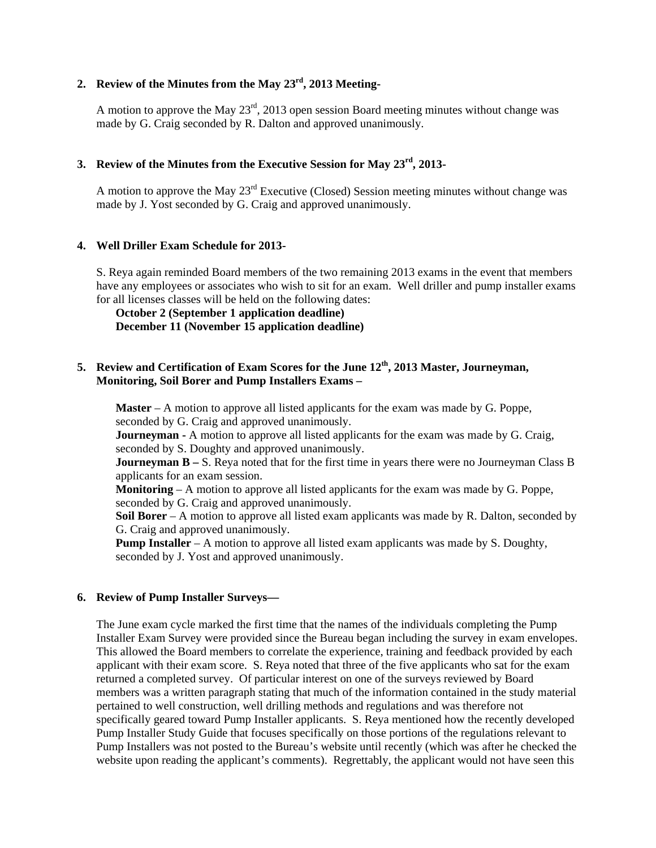## **2. Review of the Minutes from the May 23rd, 2013 Meeting-**

A motion to approve the May  $23<sup>rd</sup>$ , 2013 open session Board meeting minutes without change was made by G. Craig seconded by R. Dalton and approved unanimously.

## **3. Review of the Minutes from the Executive Session for May 23rd, 2013-**

A motion to approve the May 23<sup>rd</sup> Executive (Closed) Session meeting minutes without change was made by J. Yost seconded by G. Craig and approved unanimously.

### **4. Well Driller Exam Schedule for 2013-**

S. Reya again reminded Board members of the two remaining 2013 exams in the event that members have any employees or associates who wish to sit for an exam. Well driller and pump installer exams for all licenses classes will be held on the following dates:

# **October 2 (September 1 application deadline) December 11 (November 15 application deadline)**

## **5. Review and Certification of Exam Scores for the June 12th, 2013 Master, Journeyman, Monitoring, Soil Borer and Pump Installers Exams –**

**Master** – A motion to approve all listed applicants for the exam was made by G. Poppe, seconded by G. Craig and approved unanimously.

**Journeyman -** A motion to approve all listed applicants for the exam was made by G. Craig, seconded by S. Doughty and approved unanimously.

**Journeyman B** – S. Reya noted that for the first time in years there were no Journeyman Class B applicants for an exam session.

**Monitoring** – A motion to approve all listed applicants for the exam was made by G. Poppe, seconded by G. Craig and approved unanimously.

**Soil Borer** – A motion to approve all listed exam applicants was made by R. Dalton, seconded by G. Craig and approved unanimously.

**Pump Installer** – A motion to approve all listed exam applicants was made by S. Doughty, seconded by J. Yost and approved unanimously.

### **6. Review of Pump Installer Surveys—**

The June exam cycle marked the first time that the names of the individuals completing the Pump Installer Exam Survey were provided since the Bureau began including the survey in exam envelopes. This allowed the Board members to correlate the experience, training and feedback provided by each applicant with their exam score. S. Reya noted that three of the five applicants who sat for the exam returned a completed survey. Of particular interest on one of the surveys reviewed by Board members was a written paragraph stating that much of the information contained in the study material pertained to well construction, well drilling methods and regulations and was therefore not specifically geared toward Pump Installer applicants. S. Reya mentioned how the recently developed Pump Installer Study Guide that focuses specifically on those portions of the regulations relevant to Pump Installers was not posted to the Bureau's website until recently (which was after he checked the website upon reading the applicant's comments). Regrettably, the applicant would not have seen this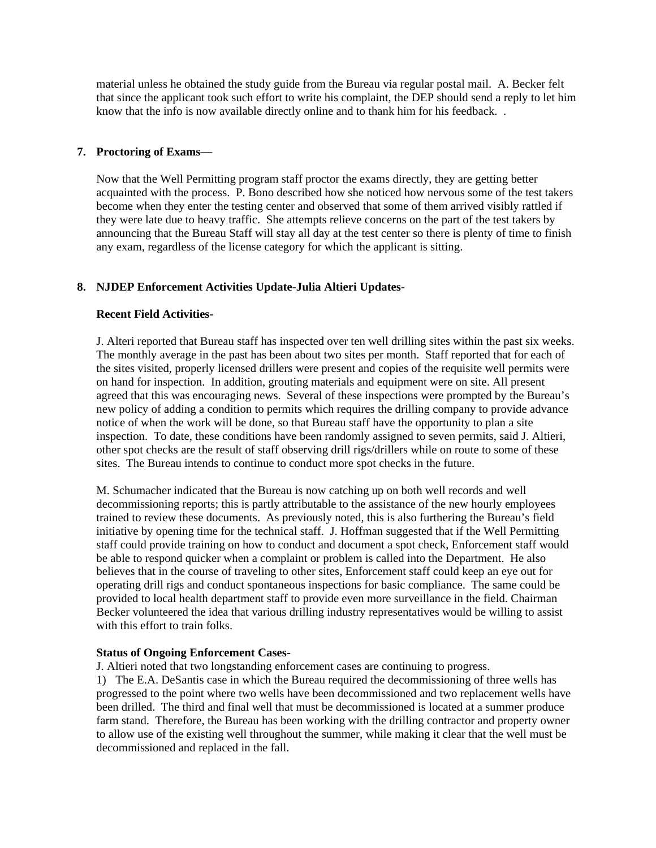material unless he obtained the study guide from the Bureau via regular postal mail. A. Becker felt that since the applicant took such effort to write his complaint, the DEP should send a reply to let him know that the info is now available directly online and to thank him for his feedback. .

#### **7. Proctoring of Exams—**

Now that the Well Permitting program staff proctor the exams directly, they are getting better acquainted with the process. P. Bono described how she noticed how nervous some of the test takers become when they enter the testing center and observed that some of them arrived visibly rattled if they were late due to heavy traffic. She attempts relieve concerns on the part of the test takers by announcing that the Bureau Staff will stay all day at the test center so there is plenty of time to finish any exam, regardless of the license category for which the applicant is sitting.

### **8. NJDEP Enforcement Activities Update-Julia Altieri Updates-**

#### **Recent Field Activities-**

J. Alteri reported that Bureau staff has inspected over ten well drilling sites within the past six weeks. The monthly average in the past has been about two sites per month. Staff reported that for each of the sites visited, properly licensed drillers were present and copies of the requisite well permits were on hand for inspection. In addition, grouting materials and equipment were on site. All present agreed that this was encouraging news. Several of these inspections were prompted by the Bureau's new policy of adding a condition to permits which requires the drilling company to provide advance notice of when the work will be done, so that Bureau staff have the opportunity to plan a site inspection. To date, these conditions have been randomly assigned to seven permits, said J. Altieri, other spot checks are the result of staff observing drill rigs/drillers while on route to some of these sites. The Bureau intends to continue to conduct more spot checks in the future.

M. Schumacher indicated that the Bureau is now catching up on both well records and well decommissioning reports; this is partly attributable to the assistance of the new hourly employees trained to review these documents. As previously noted, this is also furthering the Bureau's field initiative by opening time for the technical staff. J. Hoffman suggested that if the Well Permitting staff could provide training on how to conduct and document a spot check, Enforcement staff would be able to respond quicker when a complaint or problem is called into the Department. He also believes that in the course of traveling to other sites, Enforcement staff could keep an eye out for operating drill rigs and conduct spontaneous inspections for basic compliance. The same could be provided to local health department staff to provide even more surveillance in the field. Chairman Becker volunteered the idea that various drilling industry representatives would be willing to assist with this effort to train folks.

#### **Status of Ongoing Enforcement Cases-**

J. Altieri noted that two longstanding enforcement cases are continuing to progress.

1) The E.A. DeSantis case in which the Bureau required the decommissioning of three wells has progressed to the point where two wells have been decommissioned and two replacement wells have been drilled. The third and final well that must be decommissioned is located at a summer produce farm stand. Therefore, the Bureau has been working with the drilling contractor and property owner to allow use of the existing well throughout the summer, while making it clear that the well must be decommissioned and replaced in the fall.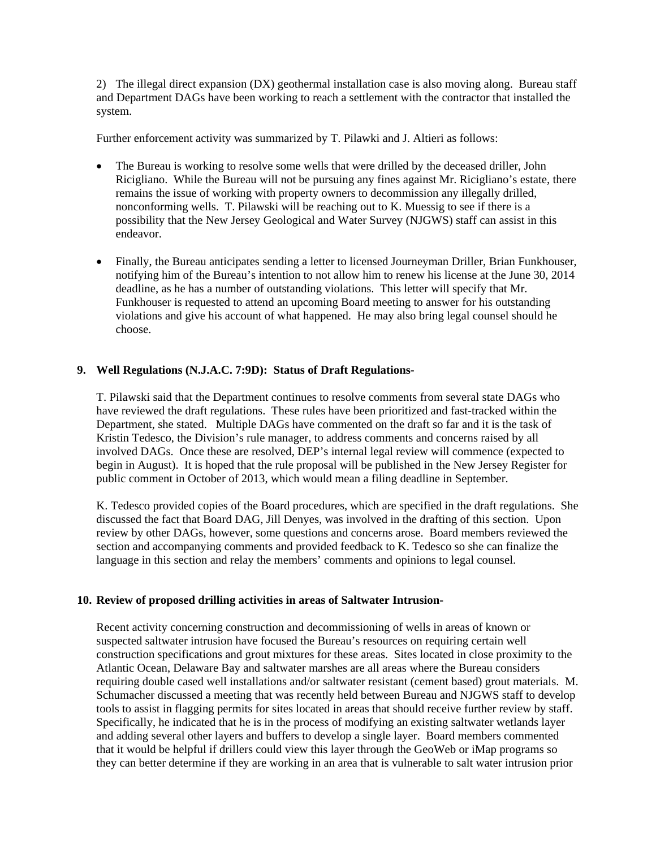2) The illegal direct expansion (DX) geothermal installation case is also moving along. Bureau staff and Department DAGs have been working to reach a settlement with the contractor that installed the system.

Further enforcement activity was summarized by T. Pilawki and J. Altieri as follows:

- The Bureau is working to resolve some wells that were drilled by the deceased driller, John Ricigliano. While the Bureau will not be pursuing any fines against Mr. Ricigliano's estate, there remains the issue of working with property owners to decommission any illegally drilled, nonconforming wells. T. Pilawski will be reaching out to K. Muessig to see if there is a possibility that the New Jersey Geological and Water Survey (NJGWS) staff can assist in this endeavor.
- Finally, the Bureau anticipates sending a letter to licensed Journeyman Driller, Brian Funkhouser, notifying him of the Bureau's intention to not allow him to renew his license at the June 30, 2014 deadline, as he has a number of outstanding violations. This letter will specify that Mr. Funkhouser is requested to attend an upcoming Board meeting to answer for his outstanding violations and give his account of what happened. He may also bring legal counsel should he choose.

### **9. Well Regulations (N.J.A.C. 7:9D): Status of Draft Regulations-**

T. Pilawski said that the Department continues to resolve comments from several state DAGs who have reviewed the draft regulations. These rules have been prioritized and fast-tracked within the Department, she stated. Multiple DAGs have commented on the draft so far and it is the task of Kristin Tedesco, the Division's rule manager, to address comments and concerns raised by all involved DAGs. Once these are resolved, DEP's internal legal review will commence (expected to begin in August). It is hoped that the rule proposal will be published in the New Jersey Register for public comment in October of 2013, which would mean a filing deadline in September.

K. Tedesco provided copies of the Board procedures, which are specified in the draft regulations. She discussed the fact that Board DAG, Jill Denyes, was involved in the drafting of this section. Upon review by other DAGs, however, some questions and concerns arose. Board members reviewed the section and accompanying comments and provided feedback to K. Tedesco so she can finalize the language in this section and relay the members' comments and opinions to legal counsel.

### **10. Review of proposed drilling activities in areas of Saltwater Intrusion-**

Recent activity concerning construction and decommissioning of wells in areas of known or suspected saltwater intrusion have focused the Bureau's resources on requiring certain well construction specifications and grout mixtures for these areas. Sites located in close proximity to the Atlantic Ocean, Delaware Bay and saltwater marshes are all areas where the Bureau considers requiring double cased well installations and/or saltwater resistant (cement based) grout materials. M. Schumacher discussed a meeting that was recently held between Bureau and NJGWS staff to develop tools to assist in flagging permits for sites located in areas that should receive further review by staff. Specifically, he indicated that he is in the process of modifying an existing saltwater wetlands layer and adding several other layers and buffers to develop a single layer. Board members commented that it would be helpful if drillers could view this layer through the GeoWeb or iMap programs so they can better determine if they are working in an area that is vulnerable to salt water intrusion prior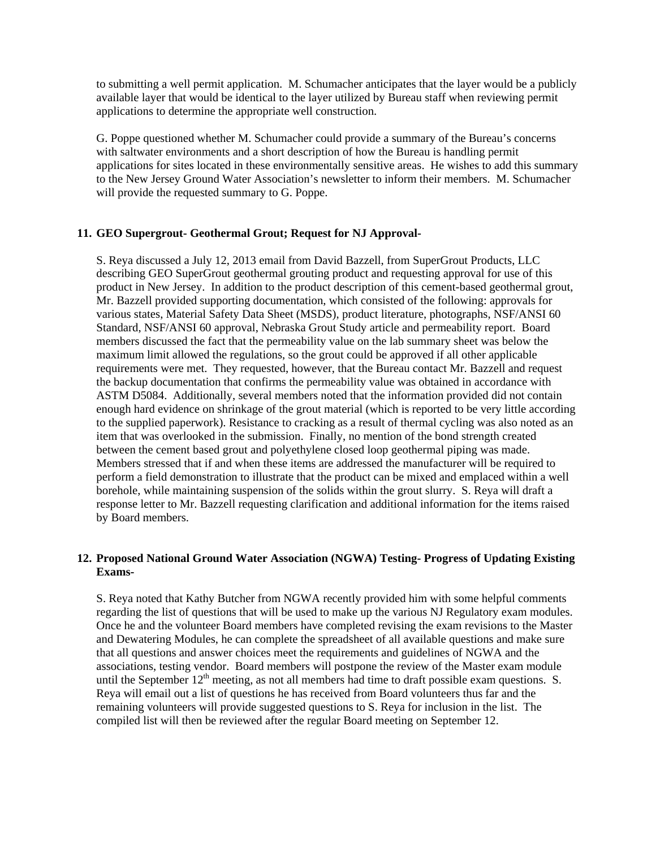to submitting a well permit application. M. Schumacher anticipates that the layer would be a publicly available layer that would be identical to the layer utilized by Bureau staff when reviewing permit applications to determine the appropriate well construction.

G. Poppe questioned whether M. Schumacher could provide a summary of the Bureau's concerns with saltwater environments and a short description of how the Bureau is handling permit applications for sites located in these environmentally sensitive areas. He wishes to add this summary to the New Jersey Ground Water Association's newsletter to inform their members. M. Schumacher will provide the requested summary to G. Poppe.

### **11. GEO Supergrout- Geothermal Grout; Request for NJ Approval-**

S. Reya discussed a July 12, 2013 email from David Bazzell, from SuperGrout Products, LLC describing GEO SuperGrout geothermal grouting product and requesting approval for use of this product in New Jersey. In addition to the product description of this cement-based geothermal grout, Mr. Bazzell provided supporting documentation, which consisted of the following: approvals for various states, Material Safety Data Sheet (MSDS), product literature, photographs, NSF/ANSI 60 Standard, NSF/ANSI 60 approval, Nebraska Grout Study article and permeability report. Board members discussed the fact that the permeability value on the lab summary sheet was below the maximum limit allowed the regulations, so the grout could be approved if all other applicable requirements were met. They requested, however, that the Bureau contact Mr. Bazzell and request the backup documentation that confirms the permeability value was obtained in accordance with ASTM D5084. Additionally, several members noted that the information provided did not contain enough hard evidence on shrinkage of the grout material (which is reported to be very little according to the supplied paperwork). Resistance to cracking as a result of thermal cycling was also noted as an item that was overlooked in the submission. Finally, no mention of the bond strength created between the cement based grout and polyethylene closed loop geothermal piping was made. Members stressed that if and when these items are addressed the manufacturer will be required to perform a field demonstration to illustrate that the product can be mixed and emplaced within a well borehole, while maintaining suspension of the solids within the grout slurry. S. Reya will draft a response letter to Mr. Bazzell requesting clarification and additional information for the items raised by Board members.

### **12. Proposed National Ground Water Association (NGWA) Testing- Progress of Updating Existing Exams-**

S. Reya noted that Kathy Butcher from NGWA recently provided him with some helpful comments regarding the list of questions that will be used to make up the various NJ Regulatory exam modules. Once he and the volunteer Board members have completed revising the exam revisions to the Master and Dewatering Modules, he can complete the spreadsheet of all available questions and make sure that all questions and answer choices meet the requirements and guidelines of NGWA and the associations, testing vendor. Board members will postpone the review of the Master exam module until the September  $12<sup>th</sup>$  meeting, as not all members had time to draft possible exam questions. S. Reya will email out a list of questions he has received from Board volunteers thus far and the remaining volunteers will provide suggested questions to S. Reya for inclusion in the list. The compiled list will then be reviewed after the regular Board meeting on September 12.